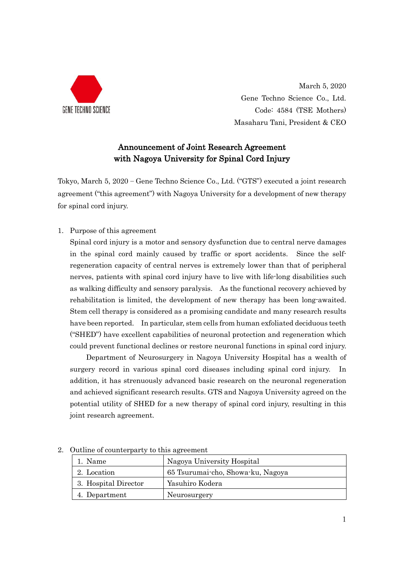

March 5, 2020 Gene Techno Science Co., Ltd. Code: 4584 (TSE Mothers) Masaharu Tani, President & CEO

## Announcement of Joint Research Agreement with Nagoya University for Spinal Cord Injury

Tokyo, March 5, 2020 – Gene Techno Science Co., Ltd. ("GTS") executed a joint research agreement ("this agreement") with Nagoya University for a development of new therapy for spinal cord injury.

1. Purpose of this agreement

Spinal cord injury is a motor and sensory dysfunction due to central nerve damages in the spinal cord mainly caused by traffic or sport accidents. Since the selfregeneration capacity of central nerves is extremely lower than that of peripheral nerves, patients with spinal cord injury have to live with life-long disabilities such as walking difficulty and sensory paralysis. As the functional recovery achieved by rehabilitation is limited, the development of new therapy has been long-awaited. Stem cell therapy is considered as a promising candidate and many research results have been reported. In particular, stem cells from human exfoliated deciduous teeth ("SHED") have excellent capabilities of neuronal protection and regeneration which could prevent functional declines or restore neuronal functions in spinal cord injury.

Department of Neurosurgery in Nagoya University Hospital has a wealth of surgery record in various spinal cord diseases including spinal cord injury. In addition, it has strenuously advanced basic research on the neuronal regeneration and achieved significant research results. GTS and Nagoya University agreed on the potential utility of SHED for a new therapy of spinal cord injury, resulting in this joint research agreement.

| 1. Name              | Nagoya University Hospital        |
|----------------------|-----------------------------------|
| 2. Location          | 65 Tsurumai-cho, Showa-ku, Nagoya |
| 3. Hospital Director | Yasuhiro Kodera                   |
| 4. Department        | Neurosurgery                      |

2. Outline of counterparty to this agreement